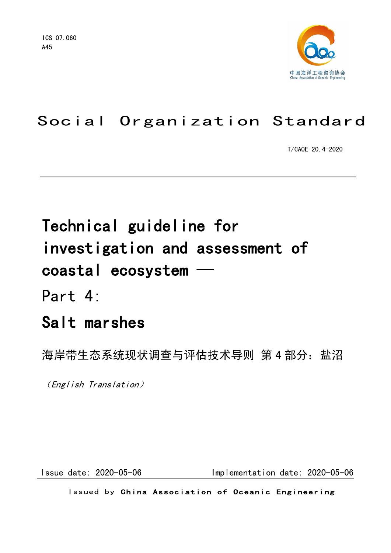

# Social Organization Standard

T/CAOE 20.4-2020

# Technical guideline for investigation and assessment of coastal ecosystem —

Part 4:

# Salt marshes

海岸带生态系统现状调查与评估技术导则 第 4 部分: 盐沼

(English Translation)

Issue date: 2020-05-06 Implementation date: 2020-05-06

Issued by China Association of Oceanic Engineering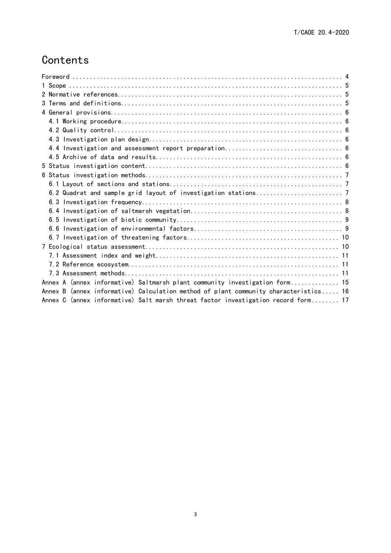### **Contents**

| Annex A (annex informative) Saltmarsh plant community investigation form 15          |
|--------------------------------------------------------------------------------------|
| Annex B (annex informative) Calculation method of plant community characteristics 16 |
| Annex C (annex informative) Salt marsh threat factor investigation record form 17    |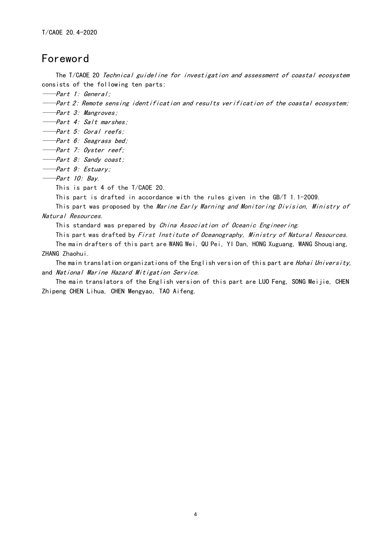### <span id="page-3-0"></span>Foreword

The T/CAOE 20 Technical guideline for investigation and assessment of coastal ecosystem consists of the following ten parts:

——Part 1: General;

——Part 2: Remote sensing identification and results verification of the coastal ecosystem;

- ——Part 3: Mangroves;
- ——Part 4: Salt marshes;
- ——Part 5: Coral reefs;
- ——Part 6: Seagrass bed;
- ——Part 7: Oyster reef;
- ——Part 8: Sandy coast;
- ——Part 9: Estuary;

——Part 10: Bay.

This is part 4 of the T/CAOE 20.

This part is drafted in accordance with the rules given in the GB/T 1.1-2009.

This part was proposed by the Marine Early Warning and Monitoring Division, Ministry of Natural Resources.

This standard was prepared by China Association of Oceanic Engineering.

This part was drafted by First Institute of Oceanography, Ministry of Natural Resources.

The main drafters of this part are WANG Wei, QU Pei, YI Dan, HONG Xuguang, WANG Shouqiang, ZHANG Zhaohui.

The main translation organizations of the English version of this part are *Hohai University*, and National Marine Hazard Mitigation Service.

The main translators of the English version of this part are LUO Feng, SONG Meijie, CHEN Zhipeng CHEN Lihua, CHEN Mengyao, TAO Aifeng.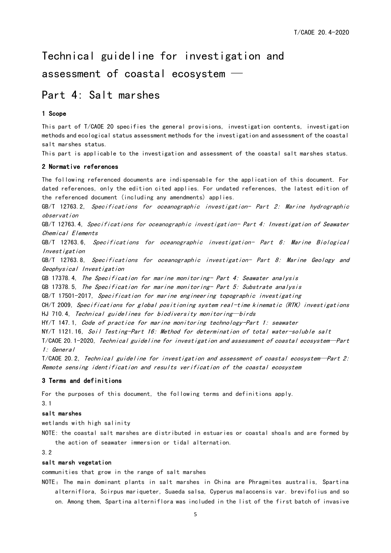## Technical guideline for investigation and assessment of coastal ecosystem —

### Part 4: Salt marshes

#### <span id="page-4-0"></span>1 Scope

This part of T/CAOE 20 specifies the general provisions, investigation contents, investigation methods and ecological status assessment methods for the investigation and assessment of the coastal salt marshes status.

This part is applicable to the investigation and assessment of the coastal salt marshes status.

#### <span id="page-4-1"></span>2 Normative references

The following referenced documents are indispensable for the application of this document. For dated references, only the edition cited applies. For undated references, the latest edition of the referenced document (including any amendments) applies.

GB/T 12763.2, Specifications for oceanographic investigation- Part 2: Marine hydrographic observation

GB/T 12763.4, Specifications for oceanographic investigation- Part 4: Investigation of Seawater Chemical Elements

GB/T 12763.6, Specifications for oceanographic investigation- Part 6: Marine Biological Investigation

GB/T 12763.8, Specifications for oceanographic investigation- Part 8: Marine Geology and Geophysical Investigation

GB 17378.4, The Specification for marine monitoring- Part 4: Seawater analysis

GB 17378.5, The Specification for marine monitoring- Part  $5$ : Substrate analysis

GB/T 17501-2017, Specification for marine engineering topographic investigating

CH/T 2009, Specifications for global positioning system real-time kinematic (RTK) investigations HJ 710.4, Technical guidelines for biodiversity monitoring—birds

HY/T 147.1, Code of practice for marine monitoring technology-Part 1: seawater

NY/T 1121.16, Soil Testing-Part 16: Method for determination of total water-soluble salt

T/CAOE 20.1-2020, Technical guideline for investigation and assessment of coastal ecosystem—Part 1: General

T/CAOE 20.2, Technical guideline for investigation and assessment of coastal ecosystem—Part 2: Remote sensing identification and results verification of the coastal ecosystem

#### <span id="page-4-2"></span>3 Terms and definitions

For the purposes of this document, the following terms and definitions apply.

3.1

#### salt marshes

wetlands with high salinity

NOTE: the coastal salt marshes are distributed in estuaries or coastal shoals and are formed by the action of seawater immersion or tidal alternation.

3.2

#### salt marsh vegetation

communities that grow in the range of salt marshes

NOTE:The main dominant plants in salt marshes in China are Phragmites australis, Spartina alterniflora, Scirpus mariqueter, Suaeda salsa, Cyperus malaccensis var. brevifolius and so on. Among them, Spartina alterniflora was included in the list of the first batch of invasive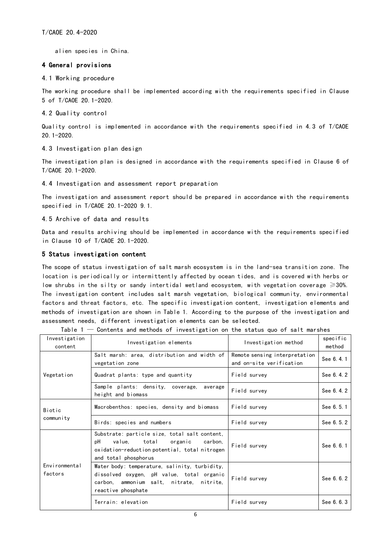alien species in China.

#### <span id="page-5-0"></span>4 General provisions

<span id="page-5-1"></span>4.1 Working procedure

The working procedure shall be implemented according with the requirements specified in Clause 5 of T/CAOE 20.1-2020.

<span id="page-5-2"></span>4.2 Quality control

Quality control is implemented in accordance with the requirements specified in 4.3 of T/CAOE 20.1-2020.

<span id="page-5-3"></span>4.3 Investigation plan design

The investigation plan is designed in accordance with the requirements specified in Clause 6 of T/CAOE 20.1-2020.

<span id="page-5-4"></span>4.4 Investigation and assessment report preparation

The investigation and assessment report should be prepared in accordance with the requirements specified in T/CAOE 20.1-2020 9.1.

<span id="page-5-5"></span>4.5 Archive of data and results

Data and results archiving should be implemented in accordance with the requirements specified in Clause 10 of T/CAOE 20.1-2020.

#### <span id="page-5-6"></span>5 Status investigation content

The scope of status investigation of salt marsh ecosystem is in the land-sea transition zone. The location is periodically or intermittently affected by ocean tides, and is covered with herbs or low shrubs in the silty or sandy intertidal wetland ecosystem, with vegetation coverage  $\geqslant 30\%$ . The investigation content includes salt marsh vegetation, biological community, environmental factors and threat factors, etc. The specific investigation content, investigation elements and methods of investigation are shown in Table 1. According to the purpose of the investigation and assessment needs, different investigation elements can be selected.

| Investigation<br>content | Investigation elements                                                                                                                                             | Investigation method                                      | specific<br>method |
|--------------------------|--------------------------------------------------------------------------------------------------------------------------------------------------------------------|-----------------------------------------------------------|--------------------|
|                          | Salt marsh: area, distribution and width of<br>vegetation zone                                                                                                     | Remote sensing interpretation<br>and on-site verification | See 6.4.1          |
| Vegetation               | Quadrat plants: type and quantity                                                                                                                                  | Field survey                                              | See 6, 4, 2        |
|                          | Sample plants: density, coverage, average<br>height and biomass                                                                                                    | Field survey                                              | See 6, 4, 2        |
| Biotic                   | Macrobenthos: species, density and biomass                                                                                                                         | Field survey                                              | See 6.5.1          |
| community                | Birds: species and numbers                                                                                                                                         | Field survey                                              | See 6, 5, 2        |
|                          | Substrate: particle size, total salt content,<br>value.<br>total organic<br>рH<br>carbon.<br>oxidation-reduction potential, total nitrogen<br>and total phosphorus | Field survey                                              | See 6, 6, 1        |
| Environmental<br>factors | Water body: temperature, salinity, turbidity,<br>dissolved oxygen, pH value, total organic<br>carbon, ammonium salt, nitrate, nitrite,<br>reactive phosphate       | Field survey                                              | See 6, 6, 2        |
|                          | Terrain: elevation                                                                                                                                                 | Field survey                                              | See 6, 6, 3        |

Table  $1$   $-$  Contents and methods of investigation on the status quo of salt marshes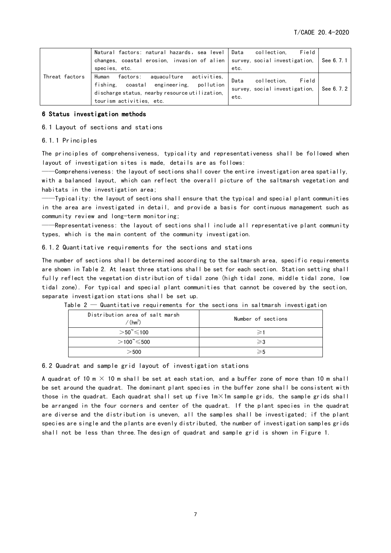|                | Natural factors: natural hazards, sea level   Data<br>changes, coastal erosion, invasion of alien   survey, social investigation,<br>species, etc.                    | Field<br>collection,<br>etc.                                          | See 6, 7, 1 |
|----------------|-----------------------------------------------------------------------------------------------------------------------------------------------------------------------|-----------------------------------------------------------------------|-------------|
| Threat factors | Human<br>factors: aquaculture activities,<br>coastal engineering, pollution<br>fishing,<br>discharge status, nearby resource utilization,<br>tourism activities, etc. | collection.<br>Field<br>Data<br>survey, social investigation,<br>etc. | See 6, 7, 2 |

#### <span id="page-6-0"></span>6 Status investigation methods

<span id="page-6-1"></span>6.1 Layout of sections and stations

#### 6.1.1 Principles

The principles of comprehensiveness, typicality and representativeness shall be followed when layout of investigation sites is made, details are as follows:

-Comprehensiveness: the layout of sections shall cover the entire investigation area spatially, with a balanced layout, which can reflect the overall picture of the saltmarsh vegetation and habitats in the investigation area;

 $-$ Typicality: the layout of sections shall ensure that the typical and special plant communities in the area are investigated in detail, and provide a basis for continuous management such as community review and long-term monitoring;

——Representativeness: the layout of sections shall include all representative plant community types, which is the main content of the community investigation.

6.1.2 Quantitative requirements for the sections and stations

The number of sections shall be determined according to the saltmarsh area, specific requirements are shown in Table 2. At least three stations shall be set for each section. Station setting shall fully reflect the vegetation distribution of tidal zone (high tidal zone, middle tidal zone, low tidal zone). For typical and special plant communities that cannot be covered by the section, separate investigation stations shall be set up.

| Distribution area of salt marsh<br>$/$ (hm <sup>2</sup> ) | Number of sections |
|-----------------------------------------------------------|--------------------|
| $>50$ $\leq$ 100                                          | $\geqslant$ 1      |
| $>$ 100 $\degree$ ≤500                                    | $\geqslant$ 3      |
| $>$ 500                                                   | $>$ 5              |

Table 2 — Quantitative requirements for the sections in saltmarsh investigation

<span id="page-6-2"></span>6.2 Quadrat and sample grid layout of investigation stations

A quadrat of 10 m  $\times$  10 m shall be set at each station, and a buffer zone of more than 10 m shall be set around the quadrat. The dominant plant species in the buffer zone shall be consistent with those in the quadrat. Each quadrat shall set up five  $1m \times 1m$  sample grids, the sample grids shall be arranged in the four corners and center of the quadrat. If the plant species in the quadrat are diverse and the distribution is uneven, all the samples shall be investigated; if the plant species are single and the plants are evenly distributed, the number of investigation samples grids shall not be less than three.The design of quadrat and sample grid is shown in Figure 1.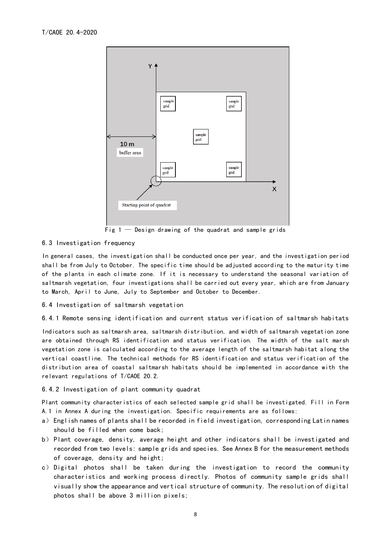

Fig  $1$   $-$  Design drawing of the quadrat and sample grids

#### <span id="page-7-0"></span>6.3 Investigation frequency

In general cases, the investigation shall be conducted once per year, and the investigation period shall be from July to October. The specific time should be adjusted according to the maturity time of the plants in each climate zone. If it is necessary to understand the seasonal variation of saltmarsh vegetation, four investigations shall be carried out every year, which are from January to March, April to June, July to September and October to December.

<span id="page-7-1"></span>6.4 Investigation of saltmarsh vegetation

6.4.1 Remote sensing identification and current status verification of saltmarsh habitats

Indicators such as saltmarsh area, saltmarsh distribution, and width of saltmarsh vegetation zone are obtained through RS identification and status verification. The width of the salt marsh vegetation zone is calculated according to the average length of the saltmarsh habitat along the vertical coastline. The technical methods for RS identification and status verification of the distribution area of coastal saltmarsh habitats should be implemented in accordance with the relevant regulations of T/CAOE 20.2.

6.4.2 Investigation of plant community quadrat

Plant community characteristics of each selected sample grid shall be investigated. Fill in Form A.1 in Annex A during the investigation. Specific requirements are as follows:

- a) English names of plants shall be recorded in field investigation, corresponding Latin names should be filled when come back;
- b) Plant coverage, density, average height and other indicators shall be investigated and recorded from two levels: sample grids and species. See Annex B for the measurement methods of coverage, density and height;
- c) Digital photos shall be taken during the investigation to record the community characteristics and working process directly. Photos of community sample grids shall visually show the appearance and vertical structure of community. The resolution of digital photos shall be above 3 million pixels;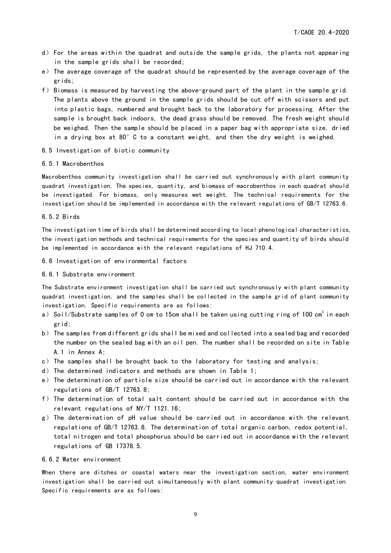- d) For the areas within the quadrat and outside the sample grids, the plants not appearing in the sample grids shall be recorded;
- e) The average coverage of the quadrat should be represented by the average coverage of the grids;
- f) Biomass is measured by harvesting the above-ground part of the plant in the sample grid. The plants above the ground in the sample grids should be cut off with scissors and put into plastic bags, numbered and brought back to the laboratory for processing. After the sample is brought back indoors, the dead grass should be removed. The fresh weight should be weighed. Then the sample should be placed in a paper bag with appropriate size, dried in a drying box at 80 $^{\circ}$  C to a constant weight, and then the dry weight is weighed.
- <span id="page-8-0"></span>6.5 Investigation of biotic community
- 6.5.1 Macrobenthos

Macrobenthos community investigation shall be carried out synchronously with plant community quadrat investigation. The species, quantity, and biomass of macrobenthos in each quadrat should be investigated. For biomass, only measures wet weight. The technical requirements for the investigation should be implemented in accordance with the relevant regulations of GB/T 12763.6.

6.5.2 Birds

The investigation time of birds shall be determined according to local phenological characteristics, the investigation methods and technical requirements for the species and quantity of birds should be implemented in accordance with the relevant regulations of HJ 710.4.

- <span id="page-8-1"></span>6.6 Investigation of environmental factors
- 6.6.1 Substrate environment

The Substrate environment investigation shall be carried out synchronously with plant community quadrat investigation, and the samples shall be collected in the sample grid of plant community investigation. Specific requirements are as follows:

- a) Soil/Substrate samples of 0 cm to 15cm shall be taken using cutting ring of 100 cm $^3$  in each grid;
- b) The samples from different grids shall be mixed and collected into a sealed bag and recorded the number on the sealed bag with an oil pen. The number shall be recorded on site in Table A.1 in Annex A;
- c) The samples shall be brought back to the laboratory for testing and analysis;
- d) The determined indicators and methods are shown in Table 1;
- e) The determination of particle size should be carried out in accordance with the relevant regulations of GB/T 12763.8;
- f) The determination of total salt content should be carried out in accordance with the relevant regulations of NY/T 1121.16;
- g) The determination of pH value should be carried out in accordance with the relevant regulations of GB/T 12763.8. The determination of total organic carbon, redox potential, total nitrogen and total phosphorus should be carried out in accordance with the relevant regulations of GB 17378.5.

#### 6.6.2 Water environment

When there are ditches or coastal waters near the investigation section, water environment investigation shall be carried out simultaneously with plant community quadrat investigation. Specific requirements are as follows: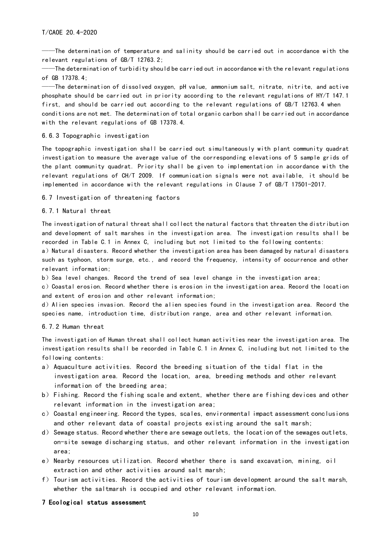—The determination of temperature and salinity should be carried out in accordance with the relevant regulations of GB/T 12763.2;

——The determination of turbidity should be carried out in accordance with the relevant regulations of GB 17378.4;

——The determination of dissolved oxygen, pH value, ammonium salt, nitrate, nitrite, and active phosphate should be carried out in priority according to the relevant regulations of HY/T 147.1 first, and should be carried out according to the relevant regulations of GB/T 12763.4 when conditions are not met. The determination of total organic carbon shall be carried out in accordance with the relevant regulations of GB 17378.4.

#### 6.6.3 Topographic investigation

The topographic investigation shall be carried out simultaneously with plant community quadrat investigation to measure the average value of the corresponding elevations of 5 sample grids of the plant community quadrat. Priority shall be given to implementation in accordance with the relevant regulations of CH/T 2009. If communication signals were not available, it should be implemented in accordance with the relevant regulations in Clause 7 of GB/T 17501-2017.

<span id="page-9-0"></span>6.7 Investigation of threatening factors

#### 6.7.1 Natural threat

The investigation of natural threat shall collect the natural factors that threaten the distribution and development of salt marshes in the investigation area. The investigation results shall be recorded in Table C.1 in Annex C, including but not limited to the following contents:

a) Natural disasters. Record whether the investigation area has been damaged by natural disasters such as typhoon, storm surge, etc., and record the frequency, intensity of occurrence and other relevant information;

b) Sea level changes. Record the trend of sea level change in the investigation area;

c) Coastal erosion. Record whether there is erosion in the investigation area. Record the location and extent of erosion and other relevant information;

d)Alien species invasion. Record the alien species found in the investigation area. Record the species name, introduction time, distribution range, area and other relevant information.

#### 6.7.2 Human threat

The investigation of Human threat shall collect human activities near the investigation area. The investigation results shall be recorded in Table C.1 in Annex C, including but not limited to the following contents:

- a) Aquaculture activities. Record the breeding situation of the tidal flat in the investigation area. Record the location, area, breeding methods and other relevant information of the breeding area;
- b) Fishing. Record the fishing scale and extent, whether there are fishing devices and other relevant information in the investigation area;
- c) Coastal engineering. Record the types, scales, environmental impact assessment conclusions and other relevant data of coastal projects existing around the salt marsh;
- d) Sewage status. Record whether there are sewage outlets, the location of the sewages outlets, on-site sewage discharging status, and other relevant information in the investigation area;
- e) Nearby resources utilization. Record whether there is sand excavation, mining, oil extraction and other activities around salt marsh;
- f) Tourism activities. Record the activities of tourism development around the salt marsh, whether the saltmarsh is occupied and other relevant information.

#### <span id="page-9-1"></span>7 Ecological status assessment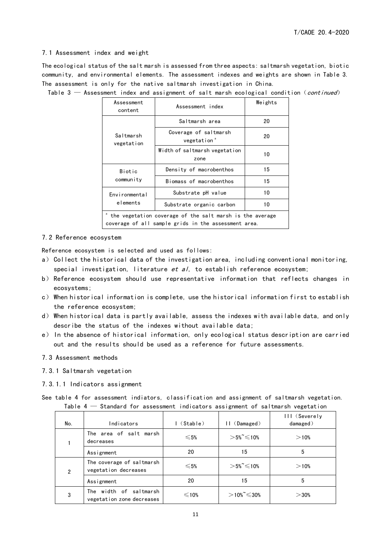#### <span id="page-10-0"></span>7.1 Assessment index and weight

Г

The ecological status of the salt marsh is assessed from three aspects: saltmarsh vegetation, biotic community, and environmental elements. The assessment indexes and weights are shown in Table 3. The assessment is only for the native saltmarsh investigation in China.

| Assessment<br>content                                                                                            | Assessment index                                 | Weights |  |  |  |
|------------------------------------------------------------------------------------------------------------------|--------------------------------------------------|---------|--|--|--|
|                                                                                                                  | Saltmarsh area                                   | 20      |  |  |  |
| Saltmarsh<br>vegetation                                                                                          | Coverage of saltmarsh<br>vegetation <sup>a</sup> | 20      |  |  |  |
|                                                                                                                  | Width of saltmarsh vegetation<br>zone            | 10      |  |  |  |
| <b>Biotic</b>                                                                                                    | Density of macrobenthos                          | 15      |  |  |  |
| community                                                                                                        | Biomass of macrobenthos                          | 15      |  |  |  |
| Environmental                                                                                                    | Substrate pH value                               | 10      |  |  |  |
| elements                                                                                                         | 10<br>Substrate organic carbon                   |         |  |  |  |
| the vegetation coverage of the salt marsh is the average<br>coverage of all sample grids in the assessment area. |                                                  |         |  |  |  |

Table  $3$   $-$  Assessment index and assignment of salt marsh ecological condition (continued)

#### <span id="page-10-1"></span>7.2 Reference ecosystem

Reference ecosystem is selected and used as follows:

- a) Collect the historical data of the investigation area, including conventional monitoring, special investigation, literature et al, to establish reference ecosystem;
- b) Reference ecosystem should use representative information that reflects changes in ecosystems;
- c) When historical information is complete, use the historical information first to establish the reference ecosystem;
- d) When historical data is partly available, assess the indexes with available data, and only describe the status of the indexes without available data;
- e) In the absence of historical information, only ecological status description are carried out and the results should be used as a reference for future assessments.
- <span id="page-10-2"></span>7.3 Assessment methods
- 7.3.1 Saltmarsh vegetation
- 7.3.1.1 Indicators assignment
- See table 4 for assessment indiators, classification and assignment of saltmarsh vegetation. Table  $4$   $-$  Standard for assessment indicators assignment of saltmarsh vegetation

| No. | Indicators                                          | (Stable) | (Damaged)<br>H.           | III (Severely<br>$d$ amaged $)$ |
|-----|-----------------------------------------------------|----------|---------------------------|---------------------------------|
|     | The area of salt marsh<br>decreases                 | ≤5%      | $>5\degree$ $\leq$ 10%    | >10%                            |
|     | Assignment                                          | 20       | 15                        | 5                               |
| 2   | The coverage of saltmarsh<br>vegetation decreases   | $≤5%$    | $>5\degree$ $\leq$ 10%    | >10%                            |
|     | Assignment                                          | 20       | 15                        | 5                               |
| 3   | The width of saltmarsh<br>vegetation zone decreases | ≤10%     | $>10\%$ <sup>~</sup> ≤30% | $>$ 30%                         |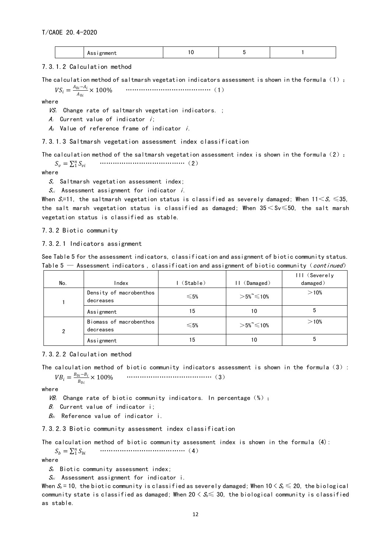|--|

7.3.1.2 Calculation method

 $A_{0i}$ 

The calculation method of saltmarsh vegetation indicators assessment is shown in the formula  $(1)$ :  $VS_i = \frac{A_{0i} - A_i}{4\pi\epsilon}$ × 100% …………………………………(1)

where

 $VS_i$  Change rate of saltmarsh vegetation indicators. ;

 $A_i$  Current value of indicator i;

 $A_0$  Value of reference frame of indicator i.

7.3.1.3 Saltmarsh vegetation assessment index classification

The calculation method of the saltmarsh vegetation assessment index is shown in the formula  $(2)$ :

 $S_v = \sum_1^n S_{vi}$ <sup>1</sup> …………………………………(2)

where

 $S<sub>v</sub>$  Saltmarsh vegetation assessment index;

 $S_{vi}$  Assessment assignment for indicator i.

When S=11, the saltmarsh vegetation status is classified as severely damaged; When  $11\!<\!S_{\!\scriptscriptstyle\ell} \leqslant\! 35,$ the salt marsh vegetation status is classified as damaged; When  $35<$  Sv $\leqslant50$ , the salt marsh vegetation status is classified as stable.

7.3.2 Biotic community

7.3.2.1 Indicators assignment

See Table 5 for the assessment indicators, classification and assignment of biotic community status. Table  $5$   $-$  Assessment indicators, classification and assignment of biotic community (*continued*)

| No. | Index                                | (Stable)   | (Damaged)              | III (Severely<br>$d$ amaged $)$ |
|-----|--------------------------------------|------------|------------------------|---------------------------------|
|     | Density of macrobenthos<br>decreases | $\leq 5\%$ | $>5\degree$ $\leq$ 10% | >10%                            |
|     | Assignment                           | 15         | 10                     | 5                               |
| 2   | Biomass of macrobenthos<br>decreases | $\leq 5\%$ | $>5\degree$ $\leq$ 10% | >10%                            |
|     | Assignment                           | 15         | 10                     | 5                               |

#### 7.3.2.2 Calculation method

The calculation method of biotic community indicators assessment is shown in the formula  $(3)$ :  $VB_i = \frac{B_{0i} - B_i}{B_{0i}}$  $B_{0i}$ × 100% …………………………………(3)

where

 $VB<sub>i</sub>$  Change rate of biotic community indicators. In percentage (%);

 $B_i$  Current value of indicator i;

 $B_{0i}$  Reference value of indicator i.

7.3.2.3 Biotic community assessment index classification

The calculation method of biotic community assessment index is shown in the formula (4):

 $S_b = \sum_1^n S_{bi}$ <sup>1</sup> …………………………………(4)

where

 $S_b$  Biotic community assessment index;

 $S_{bi}$  Assessment assignment for indicator i.

When  $S_b$ =10, the biotic community is classified as severely damaged; When 10 <  $S_b$   $\leq$  20, the biological community state is classified as damaged; When 20  $<$   $\mathcal{S}_{\delta}$   $\leq$  30, the biological community is classified as stable.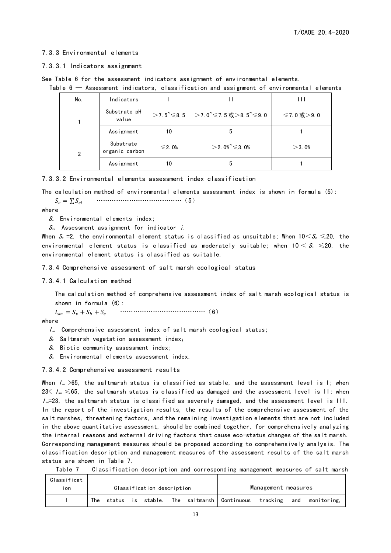#### 7.3.3 Environmental elements

#### 7.3.3.1 Indicators assignment

See Table 6 for the assessment indicators assignment of environmental elements.

Table 6 — Assessment indicators, classification and assignment of environmental elements

| No.            | Indicators                  |             |                                                                      | ,,,                  |
|----------------|-----------------------------|-------------|----------------------------------------------------------------------|----------------------|
|                | Substrate pH<br>value       |             | >7.5 <sup>~</sup> ≤8.5 >7.0 <sup>~</sup> ≤7.5或>8.5 <sup>~</sup> ≤9.0 | $\leq 7.0$ 或 $> 9.0$ |
|                | Assignment                  | 10          | 5                                                                    |                      |
| $\overline{2}$ | Substrate<br>organic carbon | $\leq$ 2.0% | $>$ 2.0% <sup><math>\approx</math></sup> ≤3.0%                       | $>$ 3.0%             |
|                | Assignment                  | 10          | 5                                                                    |                      |

7.3.3.2 Environmental elements assessment index classification

The calculation method of environmental elements assessment index is shown in formula (5):

= …………………………………(5)

where

 $S<sub>e</sub>$  Environmental elements index;

 $S_{ei}$  Assessment assignment for indicator i.

When  $\mathcal{S}_\varepsilon$  =2, the environmental element status is classified as unsuitable; When 10 $<$   $\mathcal{S}_\varepsilon$   $\leqslant$  20, the environmental element status is classified as moderately suitable; when  $10 < S_e \leqslant 20$ , the environmental element status is classified as suitable.

7.3.4 Comprehensive assessment of salt marsh ecological status

#### 7.3.4.1 Calculation method

The calculation method of comprehensive assessment index of salt marsh ecological status is shown in formula (6):

= + + …………………………………(6)

where

 $I_{\rm sm}$  Comprehensive assessment index of salt marsh ecological status;

- $S<sub>v</sub>$  Saltmarsh vegetation assessment index;
- $S_b$  Biotic community assessment index;
- $S<sub>e</sub>$  Environmental elements assessment index.

#### 7.3.4.2 Comprehensive assessment results

When  $I_{\rm sm}$  >65, the saltmarsh status is classified as stable, and the assessment level is I; when 23 $\langle I_{\rm sm} \leq 65$ , the saltmarsh status is classified as damaged and the assessment level is II; when  $I_{\rm sm}=23$ , the saltmarsh status is classified as severely damaged, and the assessment level is III. In the report of the investigation results, the results of the comprehensive assessment of the salt marshes, threatening factors, and the remaining investigation elements that are not included in the above quantitative assessment, should be combined together, for comprehensively analyzing the internal reasons and external driving factors that cause eco-status changes of the salt marsh. Corresponding management measures should be proposed according to comprehensively analysis. The classification description and management measures of the assessment results of the salt marsh status are shown in Table 7.

Table  $7-$  Classification description and corresponding management measures of salt marsh

| Classificat<br>ı on |     |        |     | Classification description |     |                                 | Management measures |     |             |
|---------------------|-----|--------|-----|----------------------------|-----|---------------------------------|---------------------|-----|-------------|
|                     | The | status | is. | stable. i                  | The | saltmarsh   Continuous tracking |                     | and | monitoring, |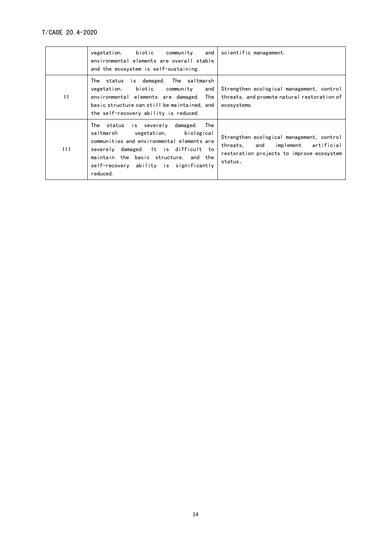|         | vegetation, biotic community<br>and<br>environmental elements are overall stable<br>and the ecosystem is self-sustaining.                                                                                                                                          | scientific management.                                                                                                                       |
|---------|--------------------------------------------------------------------------------------------------------------------------------------------------------------------------------------------------------------------------------------------------------------------|----------------------------------------------------------------------------------------------------------------------------------------------|
| $\perp$ | The status is damaged. The saltmarsh<br>vegetation, biotic community<br>and<br>environmental elements are damaged.<br>The<br>basic structure can still be maintained, and<br>the self-recovery ability is reduced.                                                 | Strengthen ecological management, control<br>threats, and promote natural restoration of<br>ecosystems.                                      |
| 111     | The status is severely damaged.<br>The<br>vegetation, biological<br>saltmarsh<br>communities and environmental elements are<br>severely damaged. It is difficult to<br>maintain the basic structure, and the<br>self-recovery ability is significantly<br>reduced. | Strengthen ecological management, control<br>threats.<br>and implement<br>artificial<br>restoration projects to improve ecosystem<br>status. |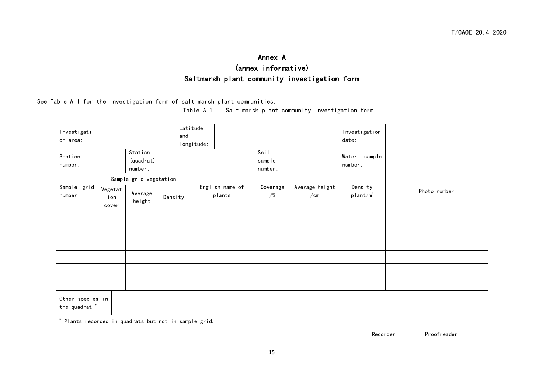### Annex A (annex informative) Saltmarsh plant community investigation form

See Table A.1 for the investigation form of salt marsh plant communities.

Table A.1  $-$  Salt marsh plant community investigation form

<span id="page-14-0"></span>

| Investigati<br>on area:                               |                         |                                 |         | Latitude<br>and<br>longitude: |                           |                           |                               | Investigation<br>date:     |              |
|-------------------------------------------------------|-------------------------|---------------------------------|---------|-------------------------------|---------------------------|---------------------------|-------------------------------|----------------------------|--------------|
| Section<br>number:                                    |                         | Station<br>(quadrat)<br>number: |         |                               |                           | Soil<br>sample<br>number: |                               | Water sample<br>number:    |              |
|                                                       |                         | Sample grid vegetation          |         |                               |                           |                           |                               |                            |              |
| Sample grid<br>number                                 | Vegetat<br>ion<br>cover | Average<br>height               | Density |                               | English name of<br>plants | Coverage<br>$/$ %         | Average height<br>$\sqrt{cm}$ | Density<br>$p$ lant $/m^2$ | Photo number |
|                                                       |                         |                                 |         |                               |                           |                           |                               |                            |              |
|                                                       |                         |                                 |         |                               |                           |                           |                               |                            |              |
|                                                       |                         |                                 |         |                               |                           |                           |                               |                            |              |
|                                                       |                         |                                 |         |                               |                           |                           |                               |                            |              |
|                                                       |                         |                                 |         |                               |                           |                           |                               |                            |              |
|                                                       |                         |                                 |         |                               |                           |                           |                               |                            |              |
| Other species in<br>the quadrat *                     |                         |                                 |         |                               |                           |                           |                               |                            |              |
| * Plants recorded in quadrats but not in sample grid. |                         |                                 |         |                               |                           |                           |                               |                            |              |

Recorder: Proofreader: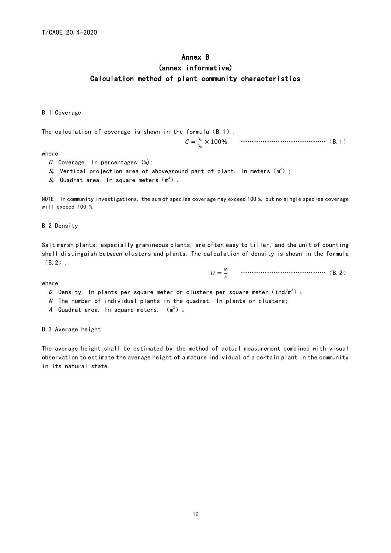#### Annex B

### <span id="page-15-0"></span>(annex informative) Calculation method of plant community characteristics

#### B.1 Coverage

The calculation of coverage is shown in the formula  $(B.1)$ .  $C=\frac{S_v}{c}$ × 100% …………………………………(B.1)

where

- C Coverage. In percentages  $(\%)$ ;
- $\mathcal{S}_{\scriptscriptstyle\vee}$  Vertical projection area of aboveground part of plant. In meters  $({\mathfrak m}^2)$  ;
- $\mathcal{S}_b$  Quadrat area. In square meters  $(\mathfrak{m}^2)$  .

NOTE In community investigations, the sum of species coverage may exceed 100 %, but no single species coverage will exceed 100 %.

B.2 Density

Salt marsh plants, especially gramineous plants, are often easy to tiller, and the unit of counting shall distinguish between clusters and plants. The calculation of density is shown in the formula (B.2).

> $D=\frac{N}{4}$ …………………………………(B.2)

where

- $D$  Density. In plants per square meter or clusters per square meter (ind/m $^2)$  ;
- $N$  The number of individual plants in the quadrat. In plants or clusters;
- ${\mathcal A}$  Quadrat area. In square meters.  $(\mathfrak{m}^2)$  .

B.3 Average height

The average height shall be estimated by the method of actual measurement combined with visual observation to estimate the average height of a mature individual of a certain plant in the community in its natural state.